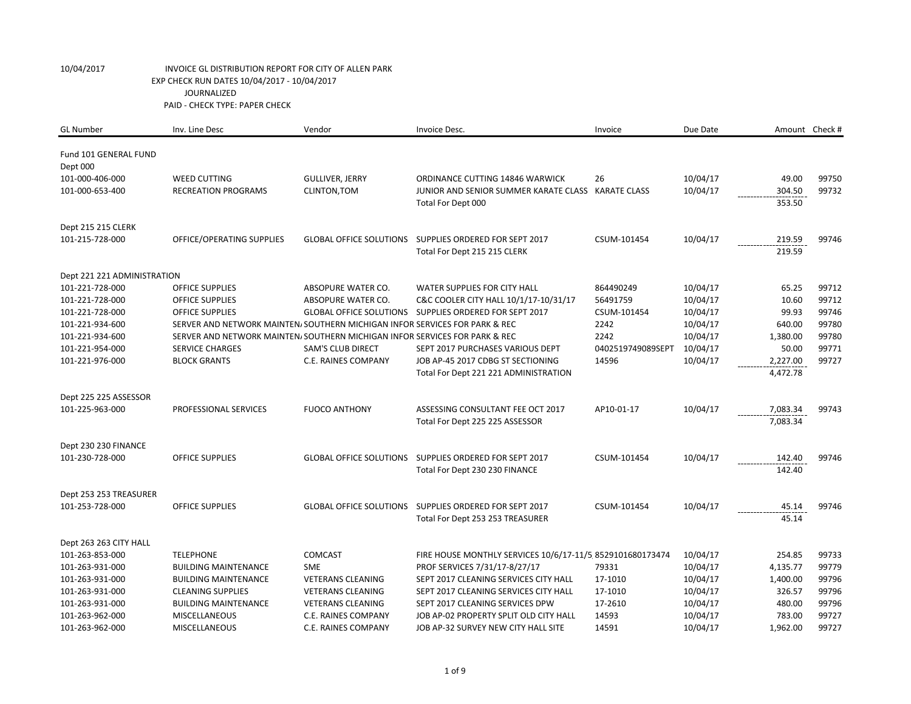| <b>GL Number</b>                  | Inv. Line Desc                                                              | Vendor                         | Invoice Desc.                                                            | Invoice           | Due Date |                  | Amount Check # |
|-----------------------------------|-----------------------------------------------------------------------------|--------------------------------|--------------------------------------------------------------------------|-------------------|----------|------------------|----------------|
| Fund 101 GENERAL FUND<br>Dept 000 |                                                                             |                                |                                                                          |                   |          |                  |                |
| 101-000-406-000                   | <b>WEED CUTTING</b>                                                         | <b>GULLIVER, JERRY</b>         | ORDINANCE CUTTING 14846 WARWICK                                          | 26                | 10/04/17 | 49.00            | 99750          |
| 101-000-653-400                   | <b>RECREATION PROGRAMS</b>                                                  | CLINTON, TOM                   | JUNIOR AND SENIOR SUMMER KARATE CLASS KARATE CLASS<br>Total For Dept 000 |                   | 10/04/17 | 304.50<br>353.50 | 99732          |
| Dept 215 215 CLERK                |                                                                             |                                |                                                                          |                   |          |                  |                |
| 101-215-728-000                   | OFFICE/OPERATING SUPPLIES                                                   | <b>GLOBAL OFFICE SOLUTIONS</b> | SUPPLIES ORDERED FOR SEPT 2017<br>Total For Dept 215 215 CLERK           | CSUM-101454       | 10/04/17 | 219.59<br>219.59 | 99746          |
| Dept 221 221 ADMINISTRATION       |                                                                             |                                |                                                                          |                   |          |                  |                |
| 101-221-728-000                   | <b>OFFICE SUPPLIES</b>                                                      | ABSOPURE WATER CO.             | WATER SUPPLIES FOR CITY HALL                                             | 864490249         | 10/04/17 | 65.25            | 99712          |
| 101-221-728-000                   | <b>OFFICE SUPPLIES</b>                                                      | ABSOPURE WATER CO.             | C&C COOLER CITY HALL 10/1/17-10/31/17                                    | 56491759          | 10/04/17 | 10.60            | 99712          |
| 101-221-728-000                   | <b>OFFICE SUPPLIES</b>                                                      | <b>GLOBAL OFFICE SOLUTIONS</b> | SUPPLIES ORDERED FOR SEPT 2017                                           | CSUM-101454       | 10/04/17 | 99.93            | 99746          |
| 101-221-934-600                   | SERVER AND NETWORK MAINTEN/SOUTHERN MICHIGAN INFOR SERVICES FOR PARK & REC  |                                |                                                                          | 2242              | 10/04/17 | 640.00           | 99780          |
| 101-221-934-600                   | SERVER AND NETWORK MAINTEN, SOUTHERN MICHIGAN INFOR SERVICES FOR PARK & REC |                                |                                                                          | 2242              | 10/04/17 | 1,380.00         | 99780          |
| 101-221-954-000                   | <b>SERVICE CHARGES</b>                                                      | <b>SAM'S CLUB DIRECT</b>       | SEPT 2017 PURCHASES VARIOUS DEPT                                         | 0402519749089SEPT | 10/04/17 | 50.00            | 99771          |
| 101-221-976-000                   | <b>BLOCK GRANTS</b>                                                         | C.E. RAINES COMPANY            | JOB AP-45 2017 CDBG ST SECTIONING                                        | 14596             | 10/04/17 | 2,227.00         | 99727          |
|                                   |                                                                             |                                | Total For Dept 221 221 ADMINISTRATION                                    |                   |          | 4,472.78         |                |
| Dept 225 225 ASSESSOR             |                                                                             |                                |                                                                          |                   |          |                  |                |
| 101-225-963-000                   | PROFESSIONAL SERVICES                                                       | <b>FUOCO ANTHONY</b>           | ASSESSING CONSULTANT FEE OCT 2017                                        | AP10-01-17        | 10/04/17 | 7,083.34         | 99743          |
|                                   |                                                                             |                                | Total For Dept 225 225 ASSESSOR                                          |                   |          | 7,083.34         |                |
| Dept 230 230 FINANCE              |                                                                             |                                |                                                                          |                   |          |                  |                |
| 101-230-728-000                   | <b>OFFICE SUPPLIES</b>                                                      |                                | GLOBAL OFFICE SOLUTIONS SUPPLIES ORDERED FOR SEPT 2017                   | CSUM-101454       | 10/04/17 | 142.40           | 99746          |
|                                   |                                                                             |                                | Total For Dept 230 230 FINANCE                                           |                   |          | 142.40           |                |
| Dept 253 253 TREASURER            |                                                                             |                                |                                                                          |                   |          |                  |                |
| 101-253-728-000                   | <b>OFFICE SUPPLIES</b>                                                      | <b>GLOBAL OFFICE SOLUTIONS</b> | SUPPLIES ORDERED FOR SEPT 2017                                           | CSUM-101454       | 10/04/17 | 45.14            | 99746          |
|                                   |                                                                             |                                | Total For Dept 253 253 TREASURER                                         |                   |          | 45.14            |                |
| Dept 263 263 CITY HALL            |                                                                             |                                |                                                                          |                   |          |                  |                |
| 101-263-853-000                   | <b>TELEPHONE</b>                                                            | <b>COMCAST</b>                 | FIRE HOUSE MONTHLY SERVICES 10/6/17-11/5 8529101680173474                |                   | 10/04/17 | 254.85           | 99733          |
| 101-263-931-000                   | <b>BUILDING MAINTENANCE</b>                                                 | <b>SME</b>                     | PROF SERVICES 7/31/17-8/27/17                                            | 79331             | 10/04/17 | 4,135.77         | 99779          |
| 101-263-931-000                   | <b>BUILDING MAINTENANCE</b>                                                 | <b>VETERANS CLEANING</b>       | SEPT 2017 CLEANING SERVICES CITY HALL                                    | 17-1010           | 10/04/17 | 1,400.00         | 99796          |
| 101-263-931-000                   | <b>CLEANING SUPPLIES</b>                                                    | <b>VETERANS CLEANING</b>       | SEPT 2017 CLEANING SERVICES CITY HALL                                    | 17-1010           | 10/04/17 | 326.57           | 99796          |
| 101-263-931-000                   | <b>BUILDING MAINTENANCE</b>                                                 | <b>VETERANS CLEANING</b>       | SEPT 2017 CLEANING SERVICES DPW                                          | 17-2610           | 10/04/17 | 480.00           | 99796          |
| 101-263-962-000                   | <b>MISCELLANEOUS</b>                                                        | C.E. RAINES COMPANY            | JOB AP-02 PROPERTY SPLIT OLD CITY HALL                                   | 14593             | 10/04/17 | 783.00           | 99727          |
| 101-263-962-000                   | MISCELLANEOUS                                                               | C.E. RAINES COMPANY            | JOB AP-32 SURVEY NEW CITY HALL SITE                                      | 14591             | 10/04/17 | 1,962.00         | 99727          |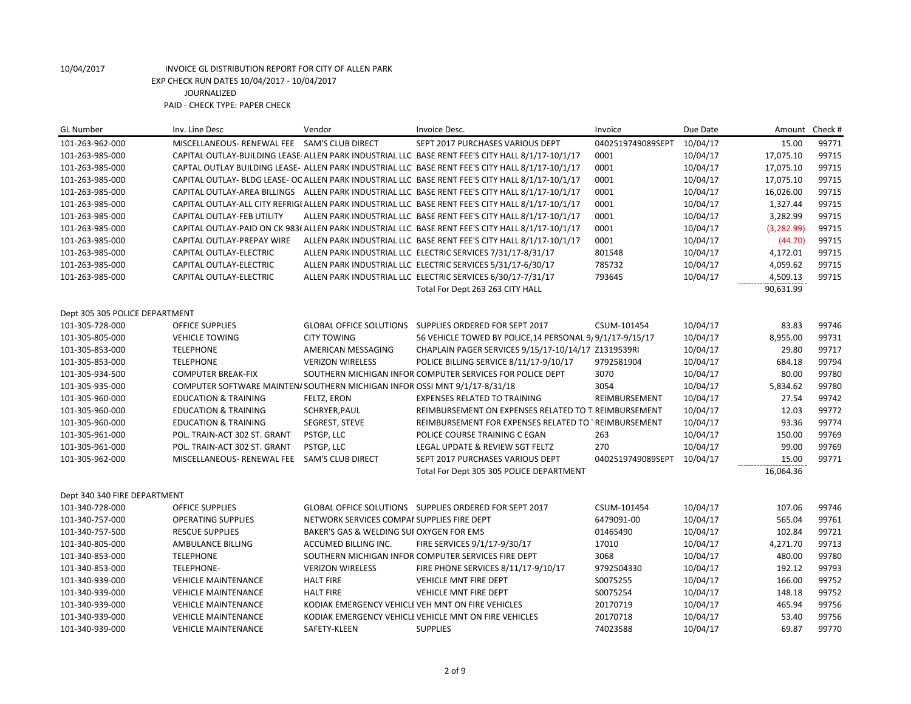| <b>GL Number</b>               | Inv. Line Desc                                                             | Vendor                                     | Invoice Desc.                                                                                      | Invoice           | Due Date | Amount      | Check # |
|--------------------------------|----------------------------------------------------------------------------|--------------------------------------------|----------------------------------------------------------------------------------------------------|-------------------|----------|-------------|---------|
| 101-263-962-000                | MISCELLANEOUS- RENEWAL FEE SAM'S CLUB DIRECT                               |                                            | SEPT 2017 PURCHASES VARIOUS DEPT                                                                   | 0402519749089SEPT | 10/04/17 | 15.00       | 99771   |
| 101-263-985-000                |                                                                            |                                            | CAPITAL OUTLAY-BUILDING LEASE ALLEN PARK INDUSTRIAL LLC BASE RENT FEE'S CITY HALL 8/1/17-10/1/17   | 0001              | 10/04/17 | 17,075.10   | 99715   |
| 101-263-985-000                |                                                                            |                                            | CAPTAL OUTLAY BUILDING LEASE- ALLEN PARK INDUSTRIAL LLC BASE RENT FEE'S CITY HALL 8/1/17-10/1/17   | 0001              | 10/04/17 | 17,075.10   | 99715   |
| 101-263-985-000                |                                                                            |                                            | CAPITAL OUTLAY- BLDG LEASE- OC ALLEN PARK INDUSTRIAL LLC BASE RENT FEE'S CITY HALL 8/1/17-10/1/17  | 0001              | 10/04/17 | 17,075.10   | 99715   |
| 101-263-985-000                |                                                                            |                                            | CAPITAL OUTLAY-AREA BILLINGS ALLEN PARK INDUSTRIAL LLC BASE RENT FEE'S CITY HALL 8/1/17-10/1/17    | 0001              | 10/04/17 | 16,026.00   | 99715   |
| 101-263-985-000                |                                                                            |                                            | CAPITAL OUTLAY-ALL CITY REFRIGI ALLEN PARK INDUSTRIAL LLC BASE RENT FEE'S CITY HALL 8/1/17-10/1/17 | 0001              | 10/04/17 | 1,327.44    | 99715   |
| 101-263-985-000                | <b>CAPITAL OUTLAY-FEB UTILITY</b>                                          |                                            | ALLEN PARK INDUSTRIAL LLC BASE RENT FEE'S CITY HALL 8/1/17-10/1/17                                 | 0001              | 10/04/17 | 3,282.99    | 99715   |
| 101-263-985-000                |                                                                            |                                            | CAPITAL OUTLAY-PAID ON CK 983( ALLEN PARK INDUSTRIAL LLC BASE RENT FEE'S CITY HALL 8/1/17-10/1/17  | 0001              | 10/04/17 | (3, 282.99) | 99715   |
| 101-263-985-000                | CAPITAL OUTLAY-PREPAY WIRE                                                 |                                            | ALLEN PARK INDUSTRIAL LLC BASE RENT FEE'S CITY HALL 8/1/17-10/1/17                                 | 0001              | 10/04/17 | (44.70)     | 99715   |
| 101-263-985-000                | CAPITAL OUTLAY-ELECTRIC                                                    |                                            | ALLEN PARK INDUSTRIAL LLC ELECTRIC SERVICES 7/31/17-8/31/17                                        | 801548            | 10/04/17 | 4,172.01    | 99715   |
| 101-263-985-000                | CAPITAL OUTLAY-ELECTRIC                                                    |                                            | ALLEN PARK INDUSTRIAL LLC ELECTRIC SERVICES 5/31/17-6/30/17                                        | 785732            | 10/04/17 | 4,059.62    | 99715   |
| 101-263-985-000                | CAPITAL OUTLAY-ELECTRIC                                                    |                                            | ALLEN PARK INDUSTRIAL LLC ELECTRIC SERVICES 6/30/17-7/31/17                                        | 793645            | 10/04/17 | 4,509.13    | 99715   |
|                                |                                                                            |                                            | Total For Dept 263 263 CITY HALL                                                                   |                   |          | 90,631.99   |         |
| Dept 305 305 POLICE DEPARTMENT |                                                                            |                                            |                                                                                                    |                   |          |             |         |
| 101-305-728-000                | OFFICE SUPPLIES                                                            |                                            | GLOBAL OFFICE SOLUTIONS SUPPLIES ORDERED FOR SEPT 2017                                             | CSUM-101454       | 10/04/17 | 83.83       | 99746   |
| 101-305-805-000                | <b>VEHICLE TOWING</b>                                                      | <b>CITY TOWING</b>                         | 56 VEHICLE TOWED BY POLICE, 14 PERSONAL 9, 9/1/17-9/15/17                                          |                   | 10/04/17 | 8,955.00    | 99731   |
| 101-305-853-000                | <b>TELEPHONE</b>                                                           | AMERICAN MESSAGING                         | CHAPLAIN PAGER SERVICES 9/15/17-10/14/17 Z1319539RI                                                |                   | 10/04/17 | 29.80       | 99717   |
| 101-305-853-000                | <b>TELEPHONE</b>                                                           | <b>VERIZON WIRELESS</b>                    | POLICE BILLING SERVICE 8/11/17-9/10/17                                                             | 9792581904        | 10/04/17 | 684.18      | 99794   |
| 101-305-934-500                | <b>COMPUTER BREAK-FIX</b>                                                  |                                            | SOUTHERN MICHIGAN INFOR COMPUTER SERVICES FOR POLICE DEPT                                          | 3070              | 10/04/17 | 80.00       | 99780   |
| 101-305-935-000                | COMPUTER SOFTWARE MAINTEN/ SOUTHERN MICHIGAN INFOR OSSI MNT 9/1/17-8/31/18 |                                            |                                                                                                    | 3054              | 10/04/17 | 5,834.62    | 99780   |
| 101-305-960-000                | <b>EDUCATION &amp; TRAINING</b>                                            | FELTZ, ERON                                | <b>EXPENSES RELATED TO TRAINING</b>                                                                | REIMBURSEMENT     | 10/04/17 | 27.54       | 99742   |
| 101-305-960-000                | <b>EDUCATION &amp; TRAINING</b>                                            | SCHRYER, PAUL                              | REIMBURSEMENT ON EXPENSES RELATED TO T REIMBURSEMENT                                               |                   | 10/04/17 | 12.03       | 99772   |
| 101-305-960-000                | <b>EDUCATION &amp; TRAINING</b>                                            | SEGREST, STEVE                             | REIMBURSEMENT FOR EXPENSES RELATED TO 'REIMBURSEMENT                                               |                   | 10/04/17 | 93.36       | 99774   |
| 101-305-961-000                | POL. TRAIN-ACT 302 ST. GRANT                                               | PSTGP, LLC                                 | POLICE COURSE TRAINING C EGAN                                                                      | 263               | 10/04/17 | 150.00      | 99769   |
| 101-305-961-000                | POL. TRAIN-ACT 302 ST. GRANT                                               | PSTGP, LLC                                 | LEGAL UPDATE & REVIEW SGT FELTZ                                                                    | 270               | 10/04/17 | 99.00       | 99769   |
| 101-305-962-000                | MISCELLANEOUS- RENEWAL FEE SAM'S CLUB DIRECT                               |                                            | SEPT 2017 PURCHASES VARIOUS DEPT                                                                   | 0402519749089SEPT | 10/04/17 | 15.00       | 99771   |
|                                |                                                                            |                                            | Total For Dept 305 305 POLICE DEPARTMENT                                                           |                   |          | 16,064.36   |         |
|                                |                                                                            |                                            |                                                                                                    |                   |          |             |         |
| Dept 340 340 FIRE DEPARTMENT   |                                                                            |                                            |                                                                                                    |                   |          |             |         |
| 101-340-728-000                | <b>OFFICE SUPPLIES</b>                                                     |                                            | GLOBAL OFFICE SOLUTIONS SUPPLIES ORDERED FOR SEPT 2017                                             | CSUM-101454       | 10/04/17 | 107.06      | 99746   |
| 101-340-757-000                | <b>OPERATING SUPPLIES</b>                                                  | NETWORK SERVICES COMPAI SUPPLIES FIRE DEPT |                                                                                                    | 6479091-00        | 10/04/17 | 565.04      | 99761   |
| 101-340-757-500                | <b>RESCUE SUPPLIES</b>                                                     | BAKER'S GAS & WELDING SUI OXYGEN FOR EMS   |                                                                                                    | 01465490          | 10/04/17 | 102.84      | 99721   |
| 101-340-805-000                | AMBULANCE BILLING                                                          | ACCUMED BILLING INC.                       | FIRE SERVICES 9/1/17-9/30/17                                                                       | 17010             | 10/04/17 | 4,271.70    | 99713   |
| 101-340-853-000                | <b>TELEPHONE</b>                                                           |                                            | SOUTHERN MICHIGAN INFOR COMPUTER SERVICES FIRE DEPT                                                | 3068              | 10/04/17 | 480.00      | 99780   |
| 101-340-853-000                | TELEPHONE-                                                                 | <b>VERIZON WIRELESS</b>                    | FIRE PHONE SERVICES 8/11/17-9/10/17                                                                | 9792504330        | 10/04/17 | 192.12      | 99793   |
| 101-340-939-000                | <b>VEHICLE MAINTENANCE</b>                                                 | <b>HALT FIRE</b>                           | VEHICLE MNT FIRE DEPT                                                                              | S0075255          | 10/04/17 | 166.00      | 99752   |
| 101-340-939-000                | <b>VEHICLE MAINTENANCE</b>                                                 | <b>HALT FIRE</b>                           | <b>VEHICLE MNT FIRE DEPT</b>                                                                       | S0075254          | 10/04/17 | 148.18      | 99752   |
| 101-340-939-000                | <b>VEHICLE MAINTENANCE</b>                                                 |                                            | KODIAK EMERGENCY VEHICLE VEH MNT ON FIRE VEHICLES                                                  | 20170719          | 10/04/17 | 465.94      | 99756   |
| 101-340-939-000                | <b>VEHICLE MAINTENANCE</b>                                                 |                                            | KODIAK EMERGENCY VEHICLI VEHICLE MNT ON FIRE VEHICLES                                              | 20170718          | 10/04/17 | 53.40       | 99756   |
| 101-340-939-000                | <b>VEHICLE MAINTENANCE</b>                                                 | SAFETY-KLEEN                               | <b>SUPPLIES</b>                                                                                    | 74023588          | 10/04/17 | 69.87       | 99770   |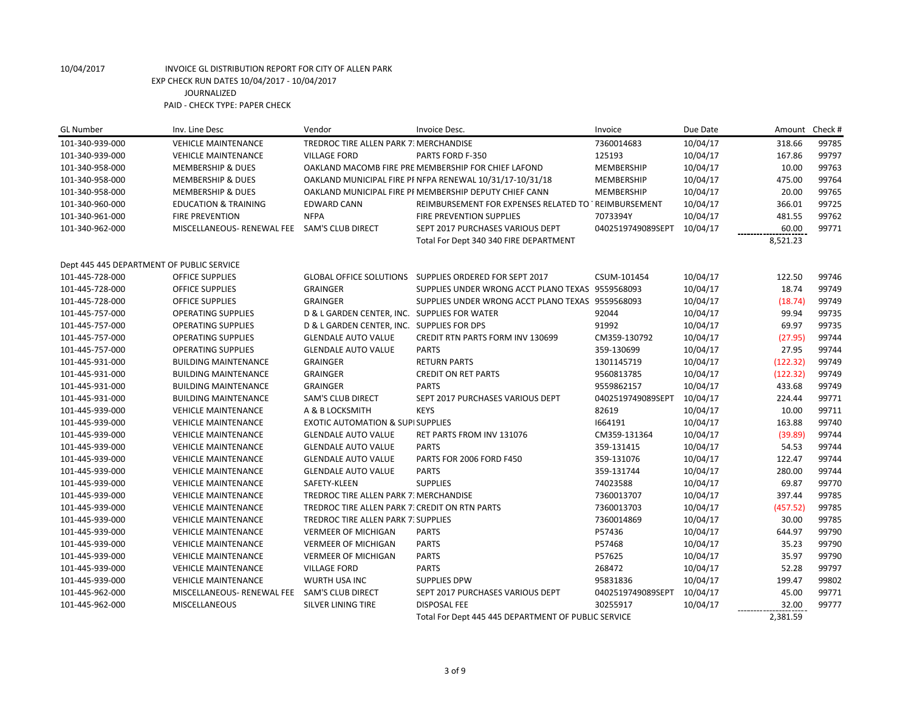| <b>GL Number</b>                          | Inv. Line Desc                  | Vendor                                         | Invoice Desc.                                            | Invoice           | Due Date | Amount   | Check # |
|-------------------------------------------|---------------------------------|------------------------------------------------|----------------------------------------------------------|-------------------|----------|----------|---------|
| 101-340-939-000                           | <b>VEHICLE MAINTENANCE</b>      | TREDROC TIRE ALLEN PARK 7. MERCHANDISE         |                                                          | 7360014683        | 10/04/17 | 318.66   | 99785   |
| 101-340-939-000                           | <b>VEHICLE MAINTENANCE</b>      | <b>VILLAGE FORD</b>                            | PARTS FORD F-350                                         | 125193            | 10/04/17 | 167.86   | 99797   |
| 101-340-958-000                           | <b>MEMBERSHIP &amp; DUES</b>    |                                                | OAKLAND MACOMB FIRE PRE MEMBERSHIP FOR CHIEF LAFOND      | MEMBERSHIP        | 10/04/17 | 10.00    | 99763   |
| 101-340-958-000                           | <b>MEMBERSHIP &amp; DUES</b>    |                                                | OAKLAND MUNICIPAL FIRE PI NFPA RENEWAL 10/31/17-10/31/18 | MEMBERSHIP        | 10/04/17 | 475.00   | 99764   |
| 101-340-958-000                           | <b>MEMBERSHIP &amp; DUES</b>    |                                                | OAKLAND MUNICIPAL FIRE PI MEMBERSHIP DEPUTY CHIEF CANN   | MEMBERSHIP        | 10/04/17 | 20.00    | 99765   |
| 101-340-960-000                           | <b>EDUCATION &amp; TRAINING</b> | <b>EDWARD CANN</b>                             | REIMBURSEMENT FOR EXPENSES RELATED TO TREIMBURSEMENT     |                   | 10/04/17 | 366.01   | 99725   |
| 101-340-961-000                           | <b>FIRE PREVENTION</b>          | <b>NFPA</b>                                    | FIRE PREVENTION SUPPLIES                                 | 7073394Y          | 10/04/17 | 481.55   | 99762   |
| 101-340-962-000                           | MISCELLANEOUS- RENEWAL FEE      | SAM'S CLUB DIRECT                              | SEPT 2017 PURCHASES VARIOUS DEPT                         | 0402519749089SEPT | 10/04/17 | 60.00    | 99771   |
|                                           |                                 |                                                | Total For Dept 340 340 FIRE DEPARTMENT                   |                   |          | 8,521.23 |         |
| Dept 445 445 DEPARTMENT OF PUBLIC SERVICE |                                 |                                                |                                                          |                   |          |          |         |
| 101-445-728-000                           | <b>OFFICE SUPPLIES</b>          |                                                | GLOBAL OFFICE SOLUTIONS SUPPLIES ORDERED FOR SEPT 2017   | CSUM-101454       | 10/04/17 | 122.50   | 99746   |
| 101-445-728-000                           | <b>OFFICE SUPPLIES</b>          | <b>GRAINGER</b>                                | SUPPLIES UNDER WRONG ACCT PLANO TEXAS 9559568093         |                   | 10/04/17 | 18.74    | 99749   |
| 101-445-728-000                           | <b>OFFICE SUPPLIES</b>          | <b>GRAINGER</b>                                | SUPPLIES UNDER WRONG ACCT PLANO TEXAS 9559568093         |                   | 10/04/17 | (18.74)  | 99749   |
| 101-445-757-000                           | <b>OPERATING SUPPLIES</b>       | D & L GARDEN CENTER, INC. SUPPLIES FOR WATER   |                                                          | 92044             | 10/04/17 | 99.94    | 99735   |
| 101-445-757-000                           | <b>OPERATING SUPPLIES</b>       | D & L GARDEN CENTER, INC. SUPPLIES FOR DPS     |                                                          | 91992             | 10/04/17 | 69.97    | 99735   |
| 101-445-757-000                           | <b>OPERATING SUPPLIES</b>       | <b>GLENDALE AUTO VALUE</b>                     | <b>CREDIT RTN PARTS FORM INV 130699</b>                  | CM359-130792      | 10/04/17 | (27.95)  | 99744   |
| 101-445-757-000                           | <b>OPERATING SUPPLIES</b>       | <b>GLENDALE AUTO VALUE</b>                     | <b>PARTS</b>                                             | 359-130699        | 10/04/17 | 27.95    | 99744   |
| 101-445-931-000                           | <b>BUILDING MAINTENANCE</b>     | <b>GRAINGER</b>                                | <b>RETURN PARTS</b>                                      | 1301145719        | 10/04/17 | (122.32) | 99749   |
| 101-445-931-000                           | <b>BUILDING MAINTENANCE</b>     | <b>GRAINGER</b>                                | <b>CREDIT ON RET PARTS</b>                               | 9560813785        | 10/04/17 | (122.32) | 99749   |
| 101-445-931-000                           | <b>BUILDING MAINTENANCE</b>     | <b>GRAINGER</b>                                | <b>PARTS</b>                                             | 9559862157        | 10/04/17 | 433.68   | 99749   |
| 101-445-931-000                           | <b>BUILDING MAINTENANCE</b>     | <b>SAM'S CLUB DIRECT</b>                       | SEPT 2017 PURCHASES VARIOUS DEPT                         | 0402519749089SEPT | 10/04/17 | 224.44   | 99771   |
| 101-445-939-000                           | <b>VEHICLE MAINTENANCE</b>      | A & B LOCKSMITH                                | <b>KEYS</b>                                              | 82619             | 10/04/17 | 10.00    | 99711   |
| 101-445-939-000                           | <b>VEHICLE MAINTENANCE</b>      | <b>EXOTIC AUTOMATION &amp; SUPI SUPPLIES</b>   |                                                          | 1664191           | 10/04/17 | 163.88   | 99740   |
| 101-445-939-000                           | <b>VEHICLE MAINTENANCE</b>      | <b>GLENDALE AUTO VALUE</b>                     | RET PARTS FROM INV 131076                                | CM359-131364      | 10/04/17 | (39.89)  | 99744   |
| 101-445-939-000                           | <b>VEHICLE MAINTENANCE</b>      | <b>GLENDALE AUTO VALUE</b>                     | <b>PARTS</b>                                             | 359-131415        | 10/04/17 | 54.53    | 99744   |
| 101-445-939-000                           | <b>VEHICLE MAINTENANCE</b>      | <b>GLENDALE AUTO VALUE</b>                     | <b>PARTS FOR 2006 FORD F450</b>                          | 359-131076        | 10/04/17 | 122.47   | 99744   |
| 101-445-939-000                           | <b>VEHICLE MAINTENANCE</b>      | <b>GLENDALE AUTO VALUE</b>                     | <b>PARTS</b>                                             | 359-131744        | 10/04/17 | 280.00   | 99744   |
| 101-445-939-000                           | <b>VEHICLE MAINTENANCE</b>      | SAFETY-KLEEN                                   | <b>SUPPLIES</b>                                          | 74023588          | 10/04/17 | 69.87    | 99770   |
| 101-445-939-000                           | <b>VEHICLE MAINTENANCE</b>      | TREDROC TIRE ALLEN PARK 7. MERCHANDISE         |                                                          | 7360013707        | 10/04/17 | 397.44   | 99785   |
| 101-445-939-000                           | <b>VEHICLE MAINTENANCE</b>      | TREDROC TIRE ALLEN PARK 7. CREDIT ON RTN PARTS |                                                          | 7360013703        | 10/04/17 | (457.52) | 99785   |
| 101-445-939-000                           | <b>VEHICLE MAINTENANCE</b>      | <b>TREDROC TIRE ALLEN PARK 7: SUPPLIES</b>     |                                                          | 7360014869        | 10/04/17 | 30.00    | 99785   |
| 101-445-939-000                           | <b>VEHICLE MAINTENANCE</b>      | <b>VERMEER OF MICHIGAN</b>                     | <b>PARTS</b>                                             | P57436            | 10/04/17 | 644.97   | 99790   |
| 101-445-939-000                           | <b>VEHICLE MAINTENANCE</b>      | <b>VERMEER OF MICHIGAN</b>                     | <b>PARTS</b>                                             | P57468            | 10/04/17 | 35.23    | 99790   |
| 101-445-939-000                           | <b>VEHICLE MAINTENANCE</b>      | <b>VERMEER OF MICHIGAN</b>                     | <b>PARTS</b>                                             | P57625            | 10/04/17 | 35.97    | 99790   |
| 101-445-939-000                           | <b>VEHICLE MAINTENANCE</b>      | <b>VILLAGE FORD</b>                            | <b>PARTS</b>                                             | 268472            | 10/04/17 | 52.28    | 99797   |
| 101-445-939-000                           | <b>VEHICLE MAINTENANCE</b>      | WURTH USA INC                                  | <b>SUPPLIES DPW</b>                                      | 95831836          | 10/04/17 | 199.47   | 99802   |
| 101-445-962-000                           | MISCELLANEOUS- RENEWAL FEE      | <b>SAM'S CLUB DIRECT</b>                       | SEPT 2017 PURCHASES VARIOUS DEPT                         | 0402519749089SEPT | 10/04/17 | 45.00    | 99771   |
| 101-445-962-000                           | MISCELLANEOUS                   | SILVER LINING TIRE                             | <b>DISPOSAL FEE</b>                                      | 30255917          | 10/04/17 | 32.00    | 99777   |
|                                           |                                 |                                                | Total For Dept 445 445 DEPARTMENT OF PUBLIC SERVICE      |                   |          | 2,381.59 |         |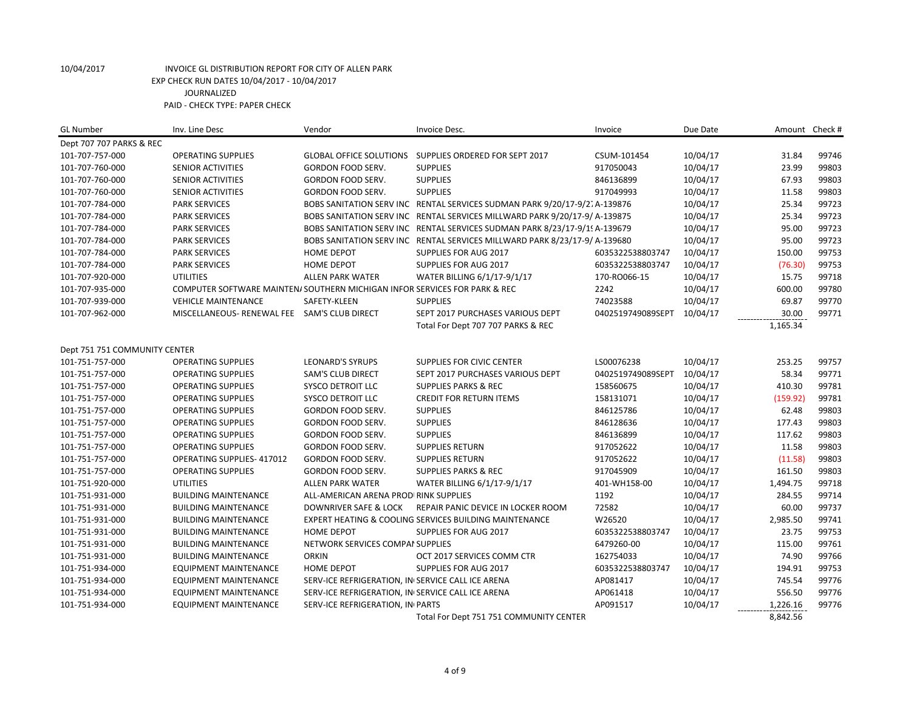| <b>GL Number</b>              | Inv. Line Desc                                                             | Vendor                                            | Invoice Desc.                                                              | Invoice           | Due Date | Amount Check # |       |
|-------------------------------|----------------------------------------------------------------------------|---------------------------------------------------|----------------------------------------------------------------------------|-------------------|----------|----------------|-------|
| Dept 707 707 PARKS & REC      |                                                                            |                                                   |                                                                            |                   |          |                |       |
| 101-707-757-000               | <b>OPERATING SUPPLIES</b>                                                  |                                                   | GLOBAL OFFICE SOLUTIONS SUPPLIES ORDERED FOR SEPT 2017                     | CSUM-101454       | 10/04/17 | 31.84          | 99746 |
| 101-707-760-000               | <b>SENIOR ACTIVITIES</b>                                                   | <b>GORDON FOOD SERV.</b>                          | <b>SUPPLIES</b>                                                            | 917050043         | 10/04/17 | 23.99          | 99803 |
| 101-707-760-000               | <b>SENIOR ACTIVITIES</b>                                                   | GORDON FOOD SERV.                                 | <b>SUPPLIES</b>                                                            | 846136899         | 10/04/17 | 67.93          | 99803 |
| 101-707-760-000               | <b>SENIOR ACTIVITIES</b>                                                   | GORDON FOOD SERV.                                 | <b>SUPPLIES</b>                                                            | 917049993         | 10/04/17 | 11.58          | 99803 |
| 101-707-784-000               | <b>PARK SERVICES</b>                                                       |                                                   | BOBS SANITATION SERV INC RENTAL SERVICES SUDMAN PARK 9/20/17-9/2. A-139876 |                   | 10/04/17 | 25.34          | 99723 |
| 101-707-784-000               | <b>PARK SERVICES</b>                                                       |                                                   | BOBS SANITATION SERV INC RENTAL SERVICES MILLWARD PARK 9/20/17-9/ A-139875 |                   | 10/04/17 | 25.34          | 99723 |
| 101-707-784-000               | <b>PARK SERVICES</b>                                                       |                                                   | BOBS SANITATION SERV INC RENTAL SERVICES SUDMAN PARK 8/23/17-9/19 A-139679 |                   | 10/04/17 | 95.00          | 99723 |
| 101-707-784-000               | <b>PARK SERVICES</b>                                                       |                                                   | BOBS SANITATION SERV INC RENTAL SERVICES MILLWARD PARK 8/23/17-9/ A-139680 |                   | 10/04/17 | 95.00          | 99723 |
| 101-707-784-000               | <b>PARK SERVICES</b>                                                       | <b>HOME DEPOT</b>                                 | SUPPLIES FOR AUG 2017                                                      | 6035322538803747  | 10/04/17 | 150.00         | 99753 |
| 101-707-784-000               | <b>PARK SERVICES</b>                                                       | <b>HOME DEPOT</b>                                 | SUPPLIES FOR AUG 2017                                                      | 6035322538803747  | 10/04/17 | (76.30)        | 99753 |
| 101-707-920-000               | <b>UTILITIES</b>                                                           | <b>ALLEN PARK WATER</b>                           | WATER BILLING 6/1/17-9/1/17                                                | 170-RO066-15      | 10/04/17 | 15.75          | 99718 |
| 101-707-935-000               | COMPUTER SOFTWARE MAINTEN/ SOUTHERN MICHIGAN INFOR SERVICES FOR PARK & REC |                                                   |                                                                            | 2242              | 10/04/17 | 600.00         | 99780 |
| 101-707-939-000               | <b>VEHICLE MAINTENANCE</b>                                                 | SAFETY-KLEEN                                      | <b>SUPPLIES</b>                                                            | 74023588          | 10/04/17 | 69.87          | 99770 |
| 101-707-962-000               | MISCELLANEOUS-RENEWAL FEE SAM'S CLUB DIRECT                                |                                                   | SEPT 2017 PURCHASES VARIOUS DEPT                                           | 0402519749089SEPT | 10/04/17 | 30.00          | 99771 |
|                               |                                                                            |                                                   | Total For Dept 707 707 PARKS & REC                                         |                   |          | 1,165.34       |       |
|                               |                                                                            |                                                   |                                                                            |                   |          |                |       |
| Dept 751 751 COMMUNITY CENTER |                                                                            |                                                   |                                                                            |                   |          |                |       |
| 101-751-757-000               | <b>OPERATING SUPPLIES</b>                                                  | <b>LEONARD'S SYRUPS</b>                           | SUPPLIES FOR CIVIC CENTER                                                  | LS00076238        | 10/04/17 | 253.25         | 99757 |
| 101-751-757-000               | <b>OPERATING SUPPLIES</b>                                                  | <b>SAM'S CLUB DIRECT</b>                          | SEPT 2017 PURCHASES VARIOUS DEPT                                           | 0402519749089SEPT | 10/04/17 | 58.34          | 99771 |
| 101-751-757-000               | <b>OPERATING SUPPLIES</b>                                                  | SYSCO DETROIT LLC                                 | <b>SUPPLIES PARKS &amp; REC</b>                                            | 158560675         | 10/04/17 | 410.30         | 99781 |
| 101-751-757-000               | <b>OPERATING SUPPLIES</b>                                                  | SYSCO DETROIT LLC                                 | <b>CREDIT FOR RETURN ITEMS</b>                                             | 158131071         | 10/04/17 | (159.92)       | 99781 |
| 101-751-757-000               | <b>OPERATING SUPPLIES</b>                                                  | <b>GORDON FOOD SERV.</b>                          | <b>SUPPLIES</b>                                                            | 846125786         | 10/04/17 | 62.48          | 99803 |
| 101-751-757-000               | <b>OPERATING SUPPLIES</b>                                                  | GORDON FOOD SERV.                                 | <b>SUPPLIES</b>                                                            | 846128636         | 10/04/17 | 177.43         | 99803 |
| 101-751-757-000               | <b>OPERATING SUPPLIES</b>                                                  | GORDON FOOD SERV.                                 | <b>SUPPLIES</b>                                                            | 846136899         | 10/04/17 | 117.62         | 99803 |
| 101-751-757-000               | <b>OPERATING SUPPLIES</b>                                                  | GORDON FOOD SERV.                                 | <b>SUPPLIES RETURN</b>                                                     | 917052622         | 10/04/17 | 11.58          | 99803 |
| 101-751-757-000               | OPERATING SUPPLIES-417012                                                  | GORDON FOOD SERV.                                 | <b>SUPPLIES RETURN</b>                                                     | 917052622         | 10/04/17 | (11.58)        | 99803 |
| 101-751-757-000               | <b>OPERATING SUPPLIES</b>                                                  | GORDON FOOD SERV.                                 | <b>SUPPLIES PARKS &amp; REC</b>                                            | 917045909         | 10/04/17 | 161.50         | 99803 |
| 101-751-920-000               | <b>UTILITIES</b>                                                           | <b>ALLEN PARK WATER</b>                           | WATER BILLING 6/1/17-9/1/17                                                | 401-WH158-00      | 10/04/17 | 1,494.75       | 99718 |
| 101-751-931-000               | <b>BUILDING MAINTENANCE</b>                                                | ALL-AMERICAN ARENA PRODIRINK SUPPLIES             |                                                                            | 1192              | 10/04/17 | 284.55         | 99714 |
| 101-751-931-000               | <b>BUILDING MAINTENANCE</b>                                                | DOWNRIVER SAFE & LOCK                             | REPAIR PANIC DEVICE IN LOCKER ROOM                                         | 72582             | 10/04/17 | 60.00          | 99737 |
| 101-751-931-000               | <b>BUILDING MAINTENANCE</b>                                                |                                                   | EXPERT HEATING & COOLING SERVICES BUILDING MAINTENANCE                     | W26520            | 10/04/17 | 2,985.50       | 99741 |
| 101-751-931-000               | <b>BUILDING MAINTENANCE</b>                                                | <b>HOME DEPOT</b>                                 | SUPPLIES FOR AUG 2017                                                      | 6035322538803747  | 10/04/17 | 23.75          | 99753 |
| 101-751-931-000               | <b>BUILDING MAINTENANCE</b>                                                | NETWORK SERVICES COMPAI SUPPLIES                  |                                                                            | 6479260-00        | 10/04/17 | 115.00         | 99761 |
| 101-751-931-000               | <b>BUILDING MAINTENANCE</b>                                                | <b>ORKIN</b>                                      | OCT 2017 SERVICES COMM CTR                                                 | 162754033         | 10/04/17 | 74.90          | 99766 |
| 101-751-934-000               | <b>EQUIPMENT MAINTENANCE</b>                                               | <b>HOME DEPOT</b>                                 | <b>SUPPLIES FOR AUG 2017</b>                                               | 6035322538803747  | 10/04/17 | 194.91         | 99753 |
| 101-751-934-000               | <b>EQUIPMENT MAINTENANCE</b>                                               | SERV-ICE REFRIGERATION, IN SERVICE CALL ICE ARENA |                                                                            | AP081417          | 10/04/17 | 745.54         | 99776 |
| 101-751-934-000               | <b>EQUIPMENT MAINTENANCE</b>                                               | SERV-ICE REFRIGERATION, IN SERVICE CALL ICE ARENA |                                                                            | AP061418          | 10/04/17 | 556.50         | 99776 |
| 101-751-934-000               | <b>EQUIPMENT MAINTENANCE</b>                                               | SERV-ICE REFRIGERATION, IN PARTS                  |                                                                            | AP091517          | 10/04/17 | 1,226.16       | 99776 |
|                               |                                                                            |                                                   | Total For Dept 751 751 COMMUNITY CENTER                                    |                   |          | 8,842.56       |       |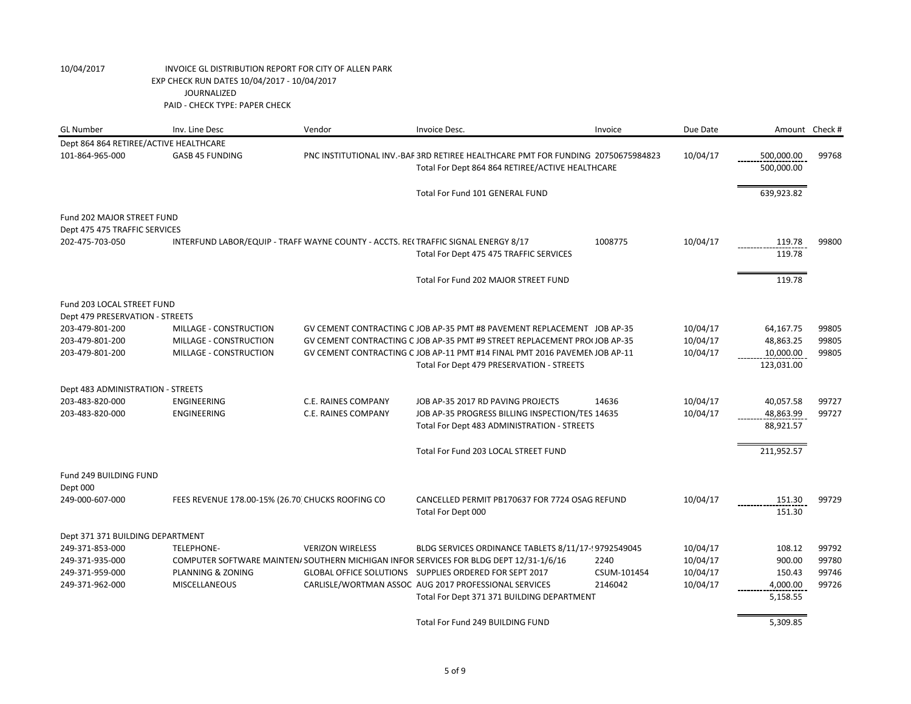| <b>GL Number</b>                       | Inv. Line Desc                                    | Vendor                                                                            | Invoice Desc.                                                                                                                                    | Invoice             | Due Date             |                  | Amount Check # |
|----------------------------------------|---------------------------------------------------|-----------------------------------------------------------------------------------|--------------------------------------------------------------------------------------------------------------------------------------------------|---------------------|----------------------|------------------|----------------|
| Dept 864 864 RETIREE/ACTIVE HEALTHCARE |                                                   |                                                                                   |                                                                                                                                                  |                     |                      |                  |                |
| 101-864-965-000                        | <b>GASB 45 FUNDING</b>                            |                                                                                   | PNC INSTITUTIONAL INV.-BAF 3RD RETIREE HEALTHCARE PMT FOR FUNDING 20750675984823                                                                 |                     | 10/04/17             | 500,000.00       | 99768          |
|                                        |                                                   |                                                                                   | Total For Dept 864 864 RETIREE/ACTIVE HEALTHCARE                                                                                                 |                     |                      | 500,000.00       |                |
|                                        |                                                   |                                                                                   |                                                                                                                                                  |                     |                      |                  |                |
|                                        |                                                   |                                                                                   | Total For Fund 101 GENERAL FUND                                                                                                                  |                     |                      | 639,923.82       |                |
| Fund 202 MAJOR STREET FUND             |                                                   |                                                                                   |                                                                                                                                                  |                     |                      |                  |                |
| Dept 475 475 TRAFFIC SERVICES          |                                                   |                                                                                   |                                                                                                                                                  |                     |                      |                  |                |
| 202-475-703-050                        |                                                   | INTERFUND LABOR/EQUIP - TRAFF WAYNE COUNTY - ACCTS. RECTRAFFIC SIGNAL ENERGY 8/17 |                                                                                                                                                  | 1008775             | 10/04/17             | 119.78           | 99800          |
|                                        |                                                   |                                                                                   | Total For Dept 475 475 TRAFFIC SERVICES                                                                                                          |                     |                      | 119.78           |                |
|                                        |                                                   |                                                                                   |                                                                                                                                                  |                     |                      |                  |                |
|                                        |                                                   |                                                                                   | Total For Fund 202 MAJOR STREET FUND                                                                                                             |                     |                      | 119.78           |                |
| Fund 203 LOCAL STREET FUND             |                                                   |                                                                                   |                                                                                                                                                  |                     |                      |                  |                |
| Dept 479 PRESERVATION - STREETS        |                                                   |                                                                                   |                                                                                                                                                  |                     |                      |                  |                |
| 203-479-801-200                        | MILLAGE - CONSTRUCTION                            |                                                                                   | GV CEMENT CONTRACTING C JOB AP-35 PMT #8 PAVEMENT REPLACEMENT JOB AP-35                                                                          |                     | 10/04/17             | 64,167.75        | 99805          |
| 203-479-801-200                        | MILLAGE - CONSTRUCTION                            |                                                                                   | GV CEMENT CONTRACTING C JOB AP-35 PMT #9 STREET REPLACEMENT PRO(JOB AP-35                                                                        |                     | 10/04/17             | 48,863.25        | 99805          |
| 203-479-801-200                        | MILLAGE - CONSTRUCTION                            |                                                                                   | GV CEMENT CONTRACTING C JOB AP-11 PMT #14 FINAL PMT 2016 PAVEMEN JOB AP-11                                                                       |                     | 10/04/17             | 10,000.00        | 99805          |
|                                        |                                                   |                                                                                   | Total For Dept 479 PRESERVATION - STREETS                                                                                                        |                     |                      | 123,031.00       |                |
| Dept 483 ADMINISTRATION - STREETS      |                                                   |                                                                                   |                                                                                                                                                  |                     |                      |                  |                |
| 203-483-820-000                        | <b>ENGINEERING</b>                                | <b>C.E. RAINES COMPANY</b>                                                        | JOB AP-35 2017 RD PAVING PROJECTS                                                                                                                | 14636               | 10/04/17             | 40,057.58        | 99727          |
| 203-483-820-000                        | ENGINEERING                                       | C.E. RAINES COMPANY                                                               | JOB AP-35 PROGRESS BILLING INSPECTION/TES 14635                                                                                                  |                     | 10/04/17             | 48,863.99        | 99727          |
|                                        |                                                   |                                                                                   | Total For Dept 483 ADMINISTRATION - STREETS                                                                                                      |                     |                      | 88,921.57        |                |
|                                        |                                                   |                                                                                   |                                                                                                                                                  |                     |                      |                  |                |
|                                        |                                                   |                                                                                   | Total For Fund 203 LOCAL STREET FUND                                                                                                             |                     |                      | 211,952.57       |                |
| Fund 249 BUILDING FUND                 |                                                   |                                                                                   |                                                                                                                                                  |                     |                      |                  |                |
| Dept 000                               |                                                   |                                                                                   |                                                                                                                                                  |                     |                      |                  |                |
| 249-000-607-000                        | FEES REVENUE 178.00-15% (26.70) CHUCKS ROOFING CO |                                                                                   | CANCELLED PERMIT PB170637 FOR 7724 OSAG REFUND                                                                                                   |                     | 10/04/17             | 151.30           | 99729          |
|                                        |                                                   |                                                                                   | Total For Dept 000                                                                                                                               |                     |                      | 151.30           |                |
|                                        |                                                   |                                                                                   |                                                                                                                                                  |                     |                      |                  |                |
| Dept 371 371 BUILDING DEPARTMENT       |                                                   |                                                                                   |                                                                                                                                                  |                     |                      |                  |                |
| 249-371-853-000                        | <b>TELEPHONE-</b>                                 | <b>VERIZON WIRELESS</b>                                                           | BLDG SERVICES ORDINANCE TABLETS 8/11/17-19792549045                                                                                              |                     | 10/04/17             | 108.12           | 99792          |
| 249-371-935-000<br>249-371-959-000     | PLANNING & ZONING                                 |                                                                                   | COMPUTER SOFTWARE MAINTEN/ SOUTHERN MICHIGAN INFOR SERVICES FOR BLDG DEPT 12/31-1/6/16<br>GLOBAL OFFICE SOLUTIONS SUPPLIES ORDERED FOR SEPT 2017 | 2240<br>CSUM-101454 | 10/04/17<br>10/04/17 | 900.00<br>150.43 | 99780<br>99746 |
| 249-371-962-000                        | MISCELLANEOUS                                     |                                                                                   | CARLISLE/WORTMAN ASSOC AUG 2017 PROFESSIONAL SERVICES                                                                                            | 2146042             | 10/04/17             | 4,000.00         | 99726          |
|                                        |                                                   |                                                                                   | Total For Dept 371 371 BUILDING DEPARTMENT                                                                                                       |                     |                      | 5,158.55         |                |
|                                        |                                                   |                                                                                   |                                                                                                                                                  |                     |                      |                  |                |
|                                        |                                                   |                                                                                   | Total For Fund 249 BUILDING FUND                                                                                                                 |                     |                      | 5,309.85         |                |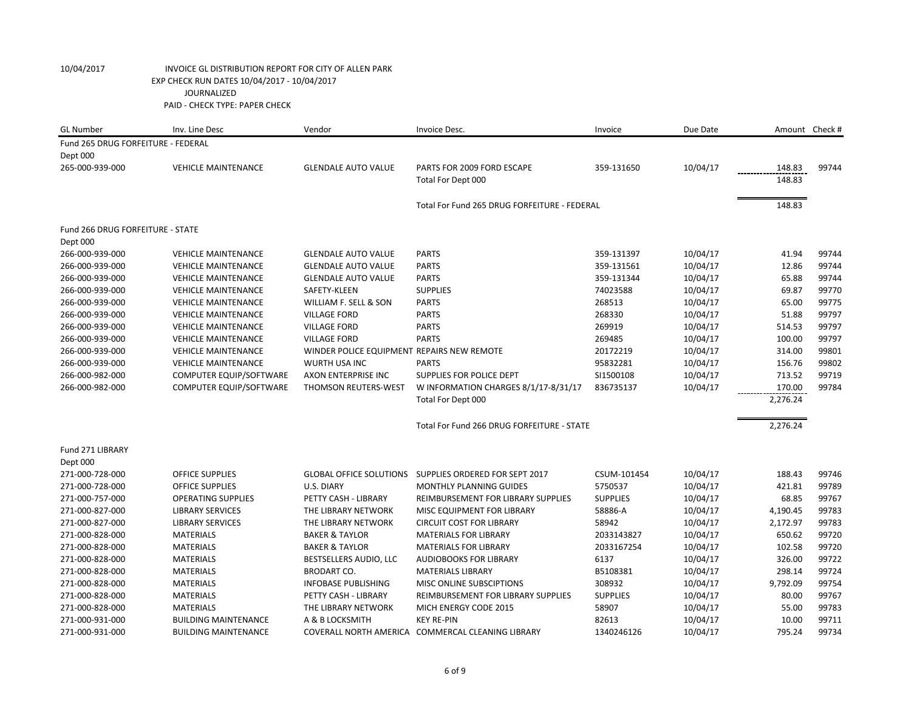| <b>GL Number</b>                   | Inv. Line Desc                 | Vendor                                     | Invoice Desc.                                          | Invoice         | Due Date | Amount Check # |       |
|------------------------------------|--------------------------------|--------------------------------------------|--------------------------------------------------------|-----------------|----------|----------------|-------|
| Fund 265 DRUG FORFEITURE - FEDERAL |                                |                                            |                                                        |                 |          |                |       |
| Dept 000                           |                                |                                            |                                                        |                 |          |                |       |
| 265-000-939-000                    | <b>VEHICLE MAINTENANCE</b>     | <b>GLENDALE AUTO VALUE</b>                 | PARTS FOR 2009 FORD ESCAPE                             | 359-131650      | 10/04/17 | 148.83         | 99744 |
|                                    |                                |                                            | Total For Dept 000                                     |                 |          | 148.83         |       |
|                                    |                                |                                            | Total For Fund 265 DRUG FORFEITURE - FEDERAL           |                 |          | 148.83         |       |
| Fund 266 DRUG FORFEITURE - STATE   |                                |                                            |                                                        |                 |          |                |       |
| Dept 000                           |                                |                                            |                                                        |                 |          |                |       |
| 266-000-939-000                    | <b>VEHICLE MAINTENANCE</b>     | <b>GLENDALE AUTO VALUE</b>                 | <b>PARTS</b>                                           | 359-131397      | 10/04/17 | 41.94          | 99744 |
| 266-000-939-000                    | <b>VEHICLE MAINTENANCE</b>     | <b>GLENDALE AUTO VALUE</b>                 | <b>PARTS</b>                                           | 359-131561      | 10/04/17 | 12.86          | 99744 |
| 266-000-939-000                    | <b>VEHICLE MAINTENANCE</b>     | <b>GLENDALE AUTO VALUE</b>                 | <b>PARTS</b>                                           | 359-131344      | 10/04/17 | 65.88          | 99744 |
| 266-000-939-000                    | <b>VEHICLE MAINTENANCE</b>     | SAFETY-KLEEN                               | <b>SUPPLIES</b>                                        | 74023588        | 10/04/17 | 69.87          | 99770 |
| 266-000-939-000                    | <b>VEHICLE MAINTENANCE</b>     | WILLIAM F. SELL & SON                      | <b>PARTS</b>                                           | 268513          | 10/04/17 | 65.00          | 99775 |
| 266-000-939-000                    | <b>VEHICLE MAINTENANCE</b>     | <b>VILLAGE FORD</b>                        | <b>PARTS</b>                                           | 268330          | 10/04/17 | 51.88          | 99797 |
| 266-000-939-000                    | <b>VEHICLE MAINTENANCE</b>     | <b>VILLAGE FORD</b>                        | <b>PARTS</b>                                           | 269919          | 10/04/17 | 514.53         | 99797 |
| 266-000-939-000                    | <b>VEHICLE MAINTENANCE</b>     | <b>VILLAGE FORD</b>                        | <b>PARTS</b>                                           | 269485          | 10/04/17 | 100.00         | 99797 |
| 266-000-939-000                    | <b>VEHICLE MAINTENANCE</b>     | WINDER POLICE EQUIPMENT REPAIRS NEW REMOTE |                                                        | 20172219        | 10/04/17 | 314.00         | 99801 |
| 266-000-939-000                    | <b>VEHICLE MAINTENANCE</b>     | <b>WURTH USA INC</b>                       | <b>PARTS</b>                                           | 95832281        | 10/04/17 | 156.76         | 99802 |
| 266-000-982-000                    | <b>COMPUTER EQUIP/SOFTWARE</b> | <b>AXON ENTERPRISE INC</b>                 | <b>SUPPLIES FOR POLICE DEPT</b>                        | SI1500108       | 10/04/17 | 713.52         | 99719 |
| 266-000-982-000                    | COMPUTER EQUIP/SOFTWARE        | THOMSON REUTERS-WEST                       | W INFORMATION CHARGES 8/1/17-8/31/17                   | 836735137       | 10/04/17 | 170.00         | 99784 |
|                                    |                                |                                            | Total For Dept 000                                     |                 |          | 2,276.24       |       |
|                                    |                                |                                            | Total For Fund 266 DRUG FORFEITURE - STATE             |                 |          | 2,276.24       |       |
| Fund 271 LIBRARY                   |                                |                                            |                                                        |                 |          |                |       |
| Dept 000                           |                                |                                            |                                                        |                 |          |                |       |
| 271-000-728-000                    | <b>OFFICE SUPPLIES</b>         |                                            | GLOBAL OFFICE SOLUTIONS SUPPLIES ORDERED FOR SEPT 2017 | CSUM-101454     | 10/04/17 | 188.43         | 99746 |
| 271-000-728-000                    | <b>OFFICE SUPPLIES</b>         | U.S. DIARY                                 | <b>MONTHLY PLANNING GUIDES</b>                         | 5750537         | 10/04/17 | 421.81         | 99789 |
| 271-000-757-000                    | <b>OPERATING SUPPLIES</b>      | PETTY CASH - LIBRARY                       | REIMBURSEMENT FOR LIBRARY SUPPLIES                     | <b>SUPPLIES</b> | 10/04/17 | 68.85          | 99767 |
| 271-000-827-000                    | <b>LIBRARY SERVICES</b>        | THE LIBRARY NETWORK                        | MISC EQUIPMENT FOR LIBRARY                             | 58886-A         | 10/04/17 | 4,190.45       | 99783 |
| 271-000-827-000                    | <b>LIBRARY SERVICES</b>        | THE LIBRARY NETWORK                        | <b>CIRCUIT COST FOR LIBRARY</b>                        | 58942           | 10/04/17 | 2,172.97       | 99783 |
| 271-000-828-000                    | <b>MATERIALS</b>               | <b>BAKER &amp; TAYLOR</b>                  | <b>MATERIALS FOR LIBRARY</b>                           | 2033143827      | 10/04/17 | 650.62         | 99720 |
| 271-000-828-000                    | <b>MATERIALS</b>               | <b>BAKER &amp; TAYLOR</b>                  | <b>MATERIALS FOR LIBRARY</b>                           | 2033167254      | 10/04/17 | 102.58         | 99720 |
| 271-000-828-000                    | <b>MATERIALS</b>               | BESTSELLERS AUDIO, LLC                     | <b>AUDIOBOOKS FOR LIBRARY</b>                          | 6137            | 10/04/17 | 326.00         | 99722 |
| 271-000-828-000                    | <b>MATERIALS</b>               | <b>BRODART CO.</b>                         | <b>MATERIALS LIBRARY</b>                               | B5108381        | 10/04/17 | 298.14         | 99724 |
| 271-000-828-000                    | <b>MATERIALS</b>               | <b>INFOBASE PUBLISHING</b>                 | MISC ONLINE SUBSCIPTIONS                               | 308932          | 10/04/17 | 9,792.09       | 99754 |
| 271-000-828-000                    | <b>MATERIALS</b>               | PETTY CASH - LIBRARY                       | REIMBURSEMENT FOR LIBRARY SUPPLIES                     | <b>SUPPLIES</b> | 10/04/17 | 80.00          | 99767 |
| 271-000-828-000                    | <b>MATERIALS</b>               | THE LIBRARY NETWORK                        | MICH ENERGY CODE 2015                                  | 58907           | 10/04/17 | 55.00          | 99783 |
| 271-000-931-000                    | <b>BUILDING MAINTENANCE</b>    | A & B LOCKSMITH                            | <b>KEY RE-PIN</b>                                      | 82613           | 10/04/17 | 10.00          | 99711 |
| 271-000-931-000                    | <b>BUILDING MAINTENANCE</b>    |                                            | COVERALL NORTH AMERICA COMMERCAL CLEANING LIBRARY      | 1340246126      | 10/04/17 | 795.24         | 99734 |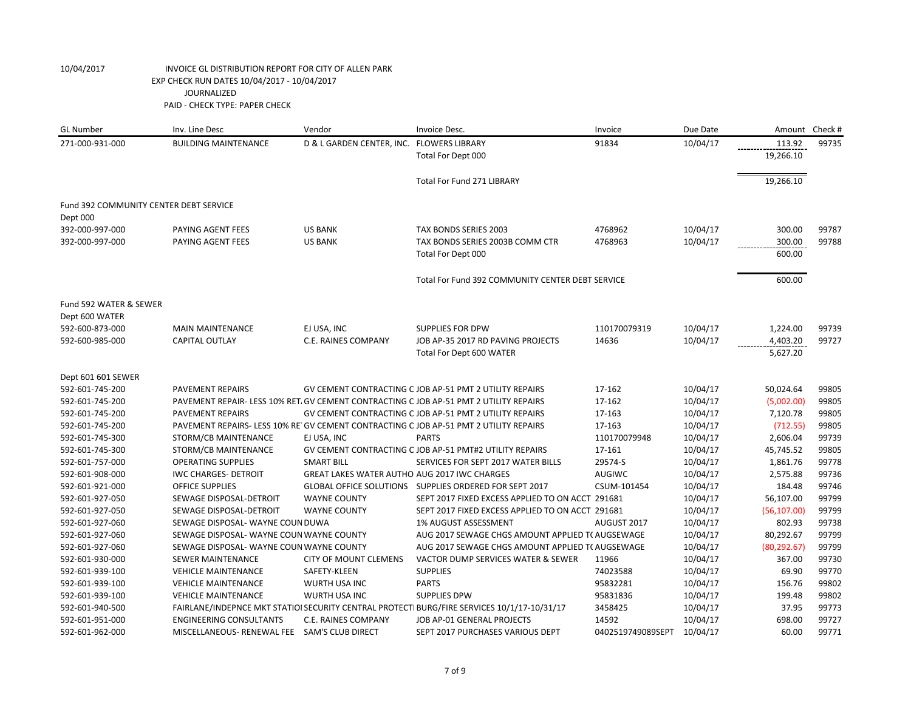| <b>GL Number</b>                       | Inv. Line Desc                               | Vendor                                       | Invoice Desc.                                                                               | Invoice           | Due Date | Amount       | Check # |
|----------------------------------------|----------------------------------------------|----------------------------------------------|---------------------------------------------------------------------------------------------|-------------------|----------|--------------|---------|
| 271-000-931-000                        | <b>BUILDING MAINTENANCE</b>                  | D & L GARDEN CENTER, INC. FLOWERS LIBRARY    |                                                                                             | 91834             | 10/04/17 | 113.92       | 99735   |
|                                        |                                              |                                              | Total For Dept 000                                                                          |                   |          | 19,266.10    |         |
|                                        |                                              |                                              | <b>Total For Fund 271 LIBRARY</b>                                                           |                   |          | 19,266.10    |         |
| Fund 392 COMMUNITY CENTER DEBT SERVICE |                                              |                                              |                                                                                             |                   |          |              |         |
| Dept 000                               |                                              |                                              |                                                                                             |                   |          |              |         |
| 392-000-997-000                        | PAYING AGENT FEES                            | <b>US BANK</b>                               | TAX BONDS SERIES 2003                                                                       | 4768962           | 10/04/17 | 300.00       | 99787   |
| 392-000-997-000                        | PAYING AGENT FEES                            | <b>US BANK</b>                               | TAX BONDS SERIES 2003B COMM CTR                                                             | 4768963           | 10/04/17 | 300.00       | 99788   |
|                                        |                                              |                                              | Total For Dept 000                                                                          |                   |          | 600.00       |         |
|                                        |                                              |                                              | Total For Fund 392 COMMUNITY CENTER DEBT SERVICE                                            |                   |          | 600.00       |         |
| Fund 592 WATER & SEWER                 |                                              |                                              |                                                                                             |                   |          |              |         |
| Dept 600 WATER                         |                                              |                                              |                                                                                             |                   |          |              |         |
| 592-600-873-000                        | <b>MAIN MAINTENANCE</b>                      | EJ USA, INC                                  | <b>SUPPLIES FOR DPW</b>                                                                     | 110170079319      | 10/04/17 | 1,224.00     | 99739   |
| 592-600-985-000                        | <b>CAPITAL OUTLAY</b>                        | C.E. RAINES COMPANY                          | JOB AP-35 2017 RD PAVING PROJECTS                                                           | 14636             | 10/04/17 | 4,403.20     | 99727   |
|                                        |                                              |                                              | Total For Dept 600 WATER                                                                    |                   |          | 5,627.20     |         |
| Dept 601 601 SEWER                     |                                              |                                              |                                                                                             |                   |          |              |         |
| 592-601-745-200                        | <b>PAVEMENT REPAIRS</b>                      |                                              | GV CEMENT CONTRACTING C JOB AP-51 PMT 2 UTILITY REPAIRS                                     | 17-162            | 10/04/17 | 50,024.64    | 99805   |
| 592-601-745-200                        |                                              |                                              | PAVEMENT REPAIR-LESS 10% RET. GV CEMENT CONTRACTING C JOB AP-51 PMT 2 UTILITY REPAIRS       | 17-162            | 10/04/17 | (5,002.00)   | 99805   |
| 592-601-745-200                        | <b>PAVEMENT REPAIRS</b>                      |                                              | GV CEMENT CONTRACTING C JOB AP-51 PMT 2 UTILITY REPAIRS                                     | 17-163            | 10/04/17 | 7,120.78     | 99805   |
| 592-601-745-200                        |                                              |                                              | PAVEMENT REPAIRS- LESS 10% RE GV CEMENT CONTRACTING C JOB AP-51 PMT 2 UTILITY REPAIRS       | 17-163            | 10/04/17 | (712.55)     | 99805   |
| 592-601-745-300                        | STORM/CB MAINTENANCE                         | EJ USA, INC                                  | <b>PARTS</b>                                                                                | 110170079948      | 10/04/17 | 2,606.04     | 99739   |
| 592-601-745-300                        | STORM/CB MAINTENANCE                         |                                              | GV CEMENT CONTRACTING C JOB AP-51 PMT#2 UTILITY REPAIRS                                     | 17-161            | 10/04/17 | 45,745.52    | 99805   |
| 592-601-757-000                        | <b>OPERATING SUPPLIES</b>                    | <b>SMART BILL</b>                            | SERVICES FOR SEPT 2017 WATER BILLS                                                          | 29574-S           | 10/04/17 | 1,861.76     | 99778   |
| 592-601-908-000                        | <b>IWC CHARGES- DETROIT</b>                  | GREAT LAKES WATER AUTHO AUG 2017 IWC CHARGES |                                                                                             | AUGIWC            | 10/04/17 | 2,575.88     | 99736   |
| 592-601-921-000                        | <b>OFFICE SUPPLIES</b>                       |                                              | GLOBAL OFFICE SOLUTIONS SUPPLIES ORDERED FOR SEPT 2017                                      | CSUM-101454       | 10/04/17 | 184.48       | 99746   |
| 592-601-927-050                        | SEWAGE DISPOSAL-DETROIT                      | <b>WAYNE COUNTY</b>                          | SEPT 2017 FIXED EXCESS APPLIED TO ON ACCT 291681                                            |                   | 10/04/17 | 56,107.00    | 99799   |
| 592-601-927-050                        | SEWAGE DISPOSAL-DETROIT                      | <b>WAYNE COUNTY</b>                          | SEPT 2017 FIXED EXCESS APPLIED TO ON ACCT 291681                                            |                   | 10/04/17 | (56, 107.00) | 99799   |
| 592-601-927-060                        | SEWAGE DISPOSAL- WAYNE COUN DUWA             |                                              | <b>1% AUGUST ASSESSMENT</b>                                                                 | AUGUST 2017       | 10/04/17 | 802.93       | 99738   |
| 592-601-927-060                        | SEWAGE DISPOSAL-WAYNE COUN WAYNE COUNTY      |                                              | AUG 2017 SEWAGE CHGS AMOUNT APPLIED T( AUGSEWAGE                                            |                   | 10/04/17 | 80,292.67    | 99799   |
| 592-601-927-060                        | SEWAGE DISPOSAL-WAYNE COUN WAYNE COUNTY      |                                              | AUG 2017 SEWAGE CHGS AMOUNT APPLIED TO AUGSEWAGE                                            |                   | 10/04/17 | (80, 292.67) | 99799   |
| 592-601-930-000                        | <b>SEWER MAINTENANCE</b>                     | <b>CITY OF MOUNT CLEMENS</b>                 | VACTOR DUMP SERVICES WATER & SEWER                                                          | 11966             | 10/04/17 | 367.00       | 99730   |
| 592-601-939-100                        | <b>VEHICLE MAINTENANCE</b>                   | SAFETY-KLEEN                                 | <b>SUPPLIES</b>                                                                             | 74023588          | 10/04/17 | 69.90        | 99770   |
| 592-601-939-100                        | <b>VEHICLE MAINTENANCE</b>                   | <b>WURTH USA INC</b>                         | <b>PARTS</b>                                                                                | 95832281          | 10/04/17 | 156.76       | 99802   |
| 592-601-939-100                        | <b>VEHICLE MAINTENANCE</b>                   | <b>WURTH USA INC</b>                         | <b>SUPPLIES DPW</b>                                                                         | 95831836          | 10/04/17 | 199.48       | 99802   |
| 592-601-940-500                        |                                              |                                              | FAIRLANE/INDEPNCE MKT STATIOI SECURITY CENTRAL PROTECTI BURG/FIRE SERVICES 10/1/17-10/31/17 | 3458425           | 10/04/17 | 37.95        | 99773   |
| 592-601-951-000                        | <b>ENGINEERING CONSULTANTS</b>               | C.E. RAINES COMPANY                          | JOB AP-01 GENERAL PROJECTS                                                                  | 14592             | 10/04/17 | 698.00       | 99727   |
| 592-601-962-000                        | MISCELLANEOUS- RENEWAL FEE SAM'S CLUB DIRECT |                                              | SEPT 2017 PURCHASES VARIOUS DEPT                                                            | 0402519749089SEPT | 10/04/17 | 60.00        | 99771   |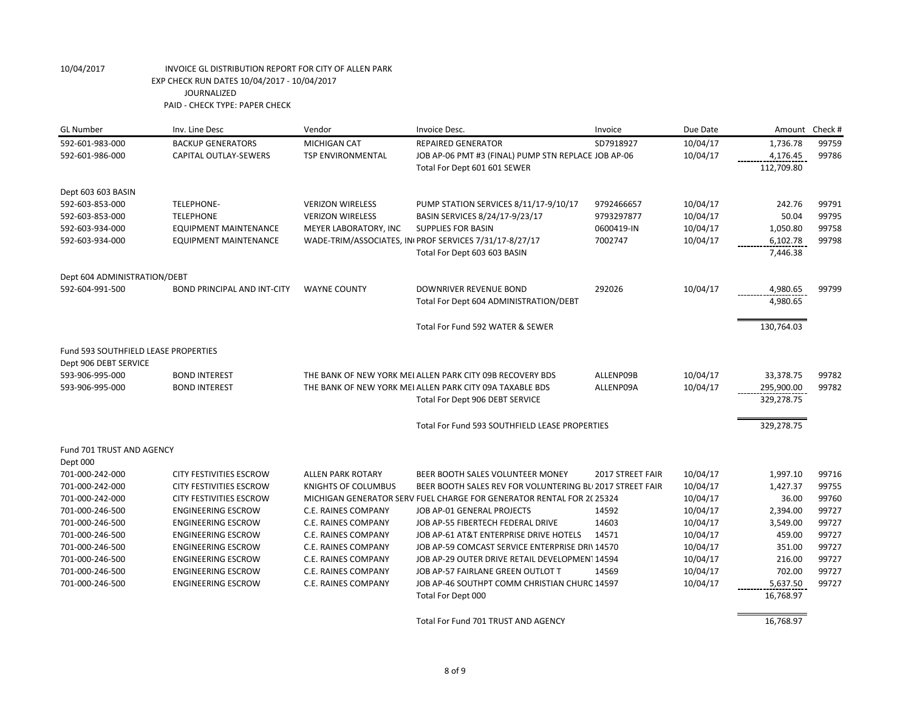| <b>GL Number</b>                            | Inv. Line Desc                     | Vendor                     | Invoice Desc.                                                        | Invoice          | Due Date | Amount     | Check # |
|---------------------------------------------|------------------------------------|----------------------------|----------------------------------------------------------------------|------------------|----------|------------|---------|
| 592-601-983-000                             | <b>BACKUP GENERATORS</b>           | <b>MICHIGAN CAT</b>        | <b>REPAIRED GENERATOR</b>                                            | SD7918927        | 10/04/17 | 1,736.78   | 99759   |
| 592-601-986-000                             | <b>CAPITAL OUTLAY-SEWERS</b>       | <b>TSP ENVIRONMENTAL</b>   | JOB AP-06 PMT #3 (FINAL) PUMP STN REPLACE JOB AP-06                  |                  | 10/04/17 | 4,176.45   | 99786   |
|                                             |                                    |                            | Total For Dept 601 601 SEWER                                         |                  |          | 112,709.80 |         |
| Dept 603 603 BASIN                          |                                    |                            |                                                                      |                  |          |            |         |
| 592-603-853-000                             | <b>TELEPHONE-</b>                  | <b>VERIZON WIRELESS</b>    | PUMP STATION SERVICES 8/11/17-9/10/17                                | 9792466657       | 10/04/17 | 242.76     | 99791   |
| 592-603-853-000                             | <b>TELEPHONE</b>                   | <b>VERIZON WIRELESS</b>    | BASIN SERVICES 8/24/17-9/23/17                                       | 9793297877       | 10/04/17 | 50.04      | 99795   |
| 592-603-934-000                             | <b>EQUIPMENT MAINTENANCE</b>       | MEYER LABORATORY, INC      | <b>SUPPLIES FOR BASIN</b>                                            | 0600419-IN       | 10/04/17 | 1,050.80   | 99758   |
| 592-603-934-000                             | <b>EQUIPMENT MAINTENANCE</b>       |                            | WADE-TRIM/ASSOCIATES, IN PROF SERVICES 7/31/17-8/27/17               | 7002747          | 10/04/17 | 6,102.78   | 99798   |
|                                             |                                    |                            | Total For Dept 603 603 BASIN                                         |                  |          | 7,446.38   |         |
| Dept 604 ADMINISTRATION/DEBT                |                                    |                            |                                                                      |                  |          |            |         |
| 592-604-991-500                             | <b>BOND PRINCIPAL AND INT-CITY</b> | <b>WAYNE COUNTY</b>        | DOWNRIVER REVENUE BOND                                               | 292026           | 10/04/17 | 4,980.65   | 99799   |
|                                             |                                    |                            | Total For Dept 604 ADMINISTRATION/DEBT                               |                  |          | 4,980.65   |         |
|                                             |                                    |                            | Total For Fund 592 WATER & SEWER                                     |                  |          | 130,764.03 |         |
| <b>Fund 593 SOUTHFIELD LEASE PROPERTIES</b> |                                    |                            |                                                                      |                  |          |            |         |
| Dept 906 DEBT SERVICE                       |                                    |                            |                                                                      |                  |          |            |         |
| 593-906-995-000                             | <b>BOND INTEREST</b>               |                            | THE BANK OF NEW YORK MEI ALLEN PARK CITY 09B RECOVERY BDS            | ALLENP09B        | 10/04/17 | 33,378.75  | 99782   |
| 593-906-995-000                             | <b>BOND INTEREST</b>               |                            | THE BANK OF NEW YORK MEI ALLEN PARK CITY 09A TAXABLE BDS             | ALLENP09A        | 10/04/17 | 295,900.00 | 99782   |
|                                             |                                    |                            | Total For Dept 906 DEBT SERVICE                                      |                  |          | 329,278.75 |         |
|                                             |                                    |                            | Total For Fund 593 SOUTHFIELD LEASE PROPERTIES                       |                  |          | 329,278.75 |         |
| Fund 701 TRUST AND AGENCY                   |                                    |                            |                                                                      |                  |          |            |         |
| Dept 000                                    |                                    |                            |                                                                      |                  |          |            |         |
| 701-000-242-000                             | <b>CITY FESTIVITIES ESCROW</b>     | <b>ALLEN PARK ROTARY</b>   | BEER BOOTH SALES VOLUNTEER MONEY                                     | 2017 STREET FAIR | 10/04/17 | 1,997.10   | 99716   |
| 701-000-242-000                             | <b>CITY FESTIVITIES ESCROW</b>     | <b>KNIGHTS OF COLUMBUS</b> | BEER BOOTH SALES REV FOR VOLUNTERING BL 2017 STREET FAIR             |                  | 10/04/17 | 1,427.37   | 99755   |
| 701-000-242-000                             | <b>CITY FESTIVITIES ESCROW</b>     |                            | MICHIGAN GENERATOR SERV FUEL CHARGE FOR GENERATOR RENTAL FOR 2(25324 |                  | 10/04/17 | 36.00      | 99760   |
| 701-000-246-500                             | <b>ENGINEERING ESCROW</b>          | C.E. RAINES COMPANY        | JOB AP-01 GENERAL PROJECTS                                           | 14592            | 10/04/17 | 2,394.00   | 99727   |
| 701-000-246-500                             | <b>ENGINEERING ESCROW</b>          | C.E. RAINES COMPANY        | JOB AP-55 FIBERTECH FEDERAL DRIVE                                    | 14603            | 10/04/17 | 3,549.00   | 99727   |
| 701-000-246-500                             | <b>ENGINEERING ESCROW</b>          | C.E. RAINES COMPANY        | JOB AP-61 AT&T ENTERPRISE DRIVE HOTELS                               | 14571            | 10/04/17 | 459.00     | 99727   |
| 701-000-246-500                             | <b>ENGINEERING ESCROW</b>          | C.E. RAINES COMPANY        | JOB AP-59 COMCAST SERVICE ENTERPRISE DRIV14570                       |                  | 10/04/17 | 351.00     | 99727   |
| 701-000-246-500                             | <b>ENGINEERING ESCROW</b>          | C.E. RAINES COMPANY        | JOB AP-29 OUTER DRIVE RETAIL DEVELOPMENT 14594                       |                  | 10/04/17 | 216.00     | 99727   |
| 701-000-246-500                             | <b>ENGINEERING ESCROW</b>          | C.E. RAINES COMPANY        | JOB AP-57 FAIRLANE GREEN OUTLOT T                                    | 14569            | 10/04/17 | 702.00     | 99727   |
| 701-000-246-500                             | <b>ENGINEERING ESCROW</b>          | C.E. RAINES COMPANY        | JOB AP-46 SOUTHPT COMM CHRISTIAN CHURC 14597                         |                  | 10/04/17 | 5,637.50   | 99727   |
|                                             |                                    |                            | Total For Dept 000                                                   |                  |          | 16,768.97  |         |
|                                             |                                    |                            | Total For Fund 701 TRUST AND AGENCY                                  |                  |          | 16,768.97  |         |